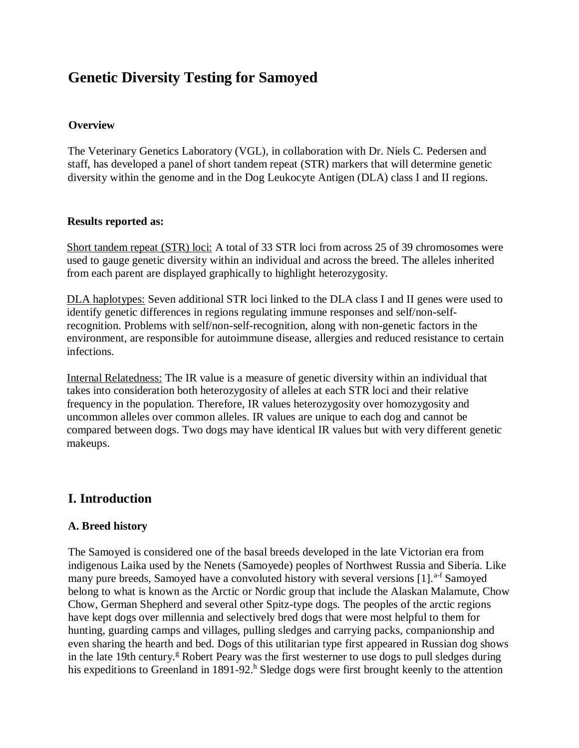# **Genetic Diversity Testing for Samoyed**

### **Overview**

The Veterinary Genetics Laboratory (VGL), in collaboration with Dr. Niels C. Pedersen and staff, has developed a panel of short tandem repeat (STR) markers that will determine genetic diversity within the genome and in the Dog Leukocyte Antigen (DLA) class I and II regions.

#### **[Results reported as:](https://www.vgl.ucdavis.edu/myvgl/dogsporder.html)**

Short tandem repeat (STR) loci: A total of 33 STR loci from across 25 of 39 chromosomes were used to gauge genetic diversity within an individual and across the breed. The alleles inherited from each parent are displayed graphically to highlight heterozygosity.

DLA haplotypes: Seven additional STR loci linked to the DLA class I and II genes were used to identify genetic differences in regions regulating immune responses and self/non-selfrecognition. Problems with self/non-self-recognition, along with non-genetic factors in the environment, are responsible for autoimmune disease, allergies and reduced resistance to certain infections.

Internal Relatedness: The IR value is a measure of genetic diversity within an individual that takes into consideration both heterozygosity of alleles at each STR loci and their relative frequency in the population. Therefore, IR values heterozygosity over homozygosity and uncommon alleles over common alleles. IR values are unique to each dog and cannot be compared between dogs. Two dogs may have identical IR values but with very different genetic makeups.

# **I. Introduction**

# **A. Breed history**

The Samoyed is considered one of the basal breeds developed in the late Victorian era from indigenous Laika used by the Nenets (Samoyede) peoples of Northwest Russia and Siberia. Like many pure breeds, Samoyed have a convoluted history with several versions [1].<sup>a-f</sup> Samoyed belong to what is known as the Arctic or Nordic group that include the Alaskan Malamute, Chow Chow, German Shepherd and several other Spitz-type dogs. The peoples of the arctic regions have kept dogs over millennia and selectively bred dogs that were most helpful to them for hunting, guarding camps and villages, pulling sledges and carrying packs, companionship and even sharing the hearth and bed. Dogs of this utilitarian type first appeared in Russian dog shows in the late 19th century.<sup>g</sup> Robert Peary was the first westerner to use dogs to pull sledges during his expeditions to Greenland in 1891-92.<sup>h</sup> Sledge dogs were first brought keenly to the attention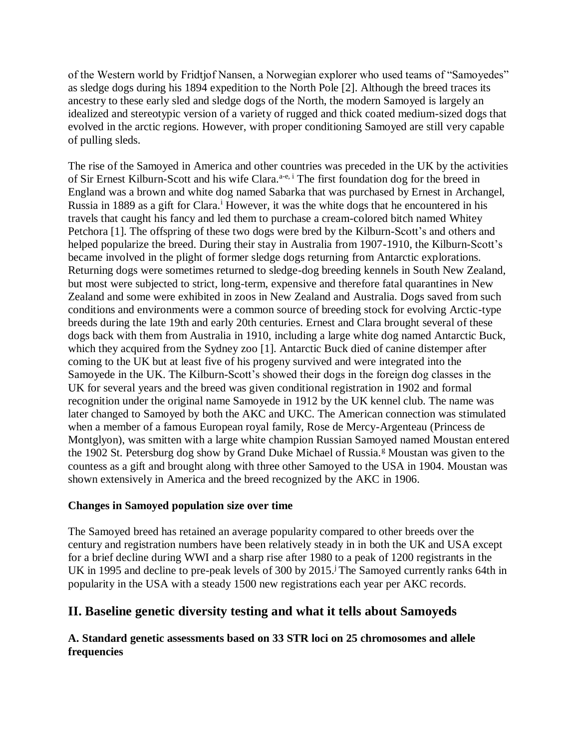of the Western world by Fridtjof Nansen, a Norwegian explorer who used teams of "Samoyedes" as sledge dogs during his 1894 expedition to the North Pole [2]. Although the breed traces its ancestry to these early sled and sledge dogs of the North, the modern Samoyed is largely an idealized and stereotypic version of a variety of rugged and thick coated medium-sized dogs that evolved in the arctic regions. However, with proper conditioning Samoyed are still very capable of pulling sleds.

The rise of the Samoyed in America and other countries was preceded in the UK by the activities of Sir Ernest Kilburn-Scott and his wife Clara.<sup>a-e, i</sup> The first foundation dog for the breed in England was a brown and white dog named Sabarka that was purchased by Ernest in Archangel, Russia in 1889 as a gift for Clara.<sup>i</sup> However, it was the white dogs that he encountered in his travels that caught his fancy and led them to purchase a cream-colored bitch named Whitey Petchora [1]. The offspring of these two dogs were bred by the Kilburn-Scott's and others and helped popularize the breed. During their stay in Australia from 1907-1910, the Kilburn-Scott's became involved in the plight of former sledge dogs returning from Antarctic explorations. Returning dogs were sometimes returned to sledge-dog breeding kennels in South New Zealand, but most were subjected to strict, long-term, expensive and therefore fatal quarantines in New Zealand and some were exhibited in zoos in New Zealand and Australia. Dogs saved from such conditions and environments were a common source of breeding stock for evolving Arctic-type breeds during the late 19th and early 20th centuries. Ernest and Clara brought several of these dogs back with them from Australia in 1910, including a large white dog named Antarctic Buck, which they acquired from the Sydney zoo [1]. Antarctic Buck died of canine distemper after coming to the UK but at least five of his progeny survived and were integrated into the Samoyede in the UK. The Kilburn-Scott's showed their dogs in the foreign dog classes in the UK for several years and the breed was given conditional registration in 1902 and formal recognition under the original name Samoyede in 1912 by the UK kennel club. The name was later changed to Samoyed by both the AKC and UKC. The American connection was stimulated when a member of a famous European royal family, Rose de Mercy-Argenteau (Princess de Montglyon), was smitten with a large white champion Russian Samoyed named Moustan entered the 1902 St. Petersburg dog show by Grand Duke Michael of Russia.<sup>g</sup> Moustan was given to the countess as a gift and brought along with three other Samoyed to the USA in 1904. Moustan was shown extensively in America and the breed recognized by the AKC in 1906.

# **Changes in Samoyed population size over time**

The Samoyed breed has retained an average popularity compared to other breeds over the century and registration numbers have been relatively steady in in both the UK and USA except for a brief decline during WWI and a sharp rise after 1980 to a peak of 1200 registrants in the UK in 1995 and decline to pre-peak levels of 300 by  $2015<sup>j</sup>$ . The Samoyed currently ranks 64th in popularity in the USA with a steady 1500 new registrations each year per AKC records.

# **II. Baseline genetic diversity testing and what it tells about Samoyeds**

# **A. Standard genetic assessments based on 33 STR loci on 25 chromosomes and allele frequencies**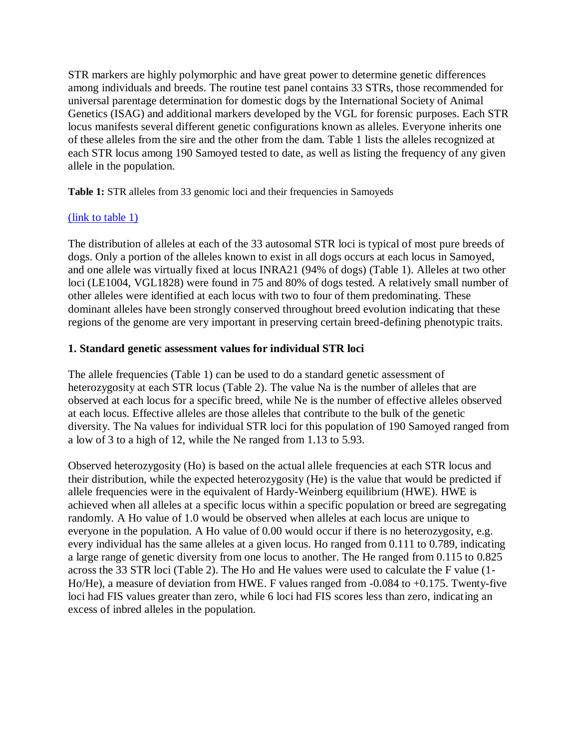STR markers are highly polymorphic and have great power to determine genetic differences among individuals and breeds. The routine test panel contains 33 STRs, those recommended for universal parentage determination for domestic dogs by the International Society of Animal Genetics (ISAG) and additional markers developed by the VGL for forensic purposes. Each STR locus manifests several different genetic configurations known as alleles. Everyone inherits one of these alleles from the sire and the other from the dam. Table 1 lists the alleles recognized at each STR locus among 190 Samoyed tested to date, as well as listing the frequency of any given allele in the population.

Table 1: STR alleles from 33 genomic loci and their frequencies in Samoyeds

# [\(link to table 1\)](https://www.vgl.ucdavis.edu/services/dog/GeneticDiversityInSamoyedSTRInfo.php)

The distribution of alleles at each of the 33 autosomal STR loci is typical of most pure breeds of dogs. Only a portion of the alleles known to exist in all dogs occurs at each locus in Samoyed, and one allele was virtually fixed at locus INRA21 (94% of dogs) (Table 1). Alleles at two other loci (LE1004, VGL1828) were found in 75 and 80% of dogs tested. A relatively small number of other alleles were identified at each locus with two to four of them predominating. These dominant alleles have been strongly conserved throughout breed evolution indicating that these regions of the genome are very important in preserving certain breed-defining phenotypic traits.

# **1. Standard genetic assessment values for individual STR loci**

The allele frequencies (Table 1) can be used to do a standard genetic assessment of heterozygosity at each STR locus (Table 2). The value Na is the number of alleles that are observed at each locus for a specific breed, while Ne is the number of effective alleles observed at each locus. Effective alleles are those alleles that contribute to the bulk of the genetic diversity. The Na values for individual STR loci for this population of 190 Samoyed ranged from a low of 3 to a high of 12, while the Ne ranged from 1.13 to 5.93.

Observed heterozygosity (Ho) is based on the actual allele frequencies at each STR locus and their distribution, while the expected heterozygosity (He) is the value that would be predicted if allele frequencies were in the equivalent of Hardy-Weinberg equilibrium (HWE). HWE is achieved when all alleles at a specific locus within a specific population or breed are segregating randomly. A Ho value of 1.0 would be observed when alleles at each locus are unique to everyone in the population. A Ho value of 0.00 would occur if there is no heterozygosity, e.g. every individual has the same alleles at a given locus. Ho ranged from 0.111 to 0.789, indicating a large range of genetic diversity from one locus to another. The He ranged from 0.115 to 0.825 across the 33 STR loci (Table 2). The Ho and He values were used to calculate the F value (1- Ho/He), a measure of deviation from HWE. F values ranged from -0.084 to +0.175. Twenty-five loci had FIS values greater than zero, while 6 loci had FIS scores less than zero, indicating an excess of inbred alleles in the population.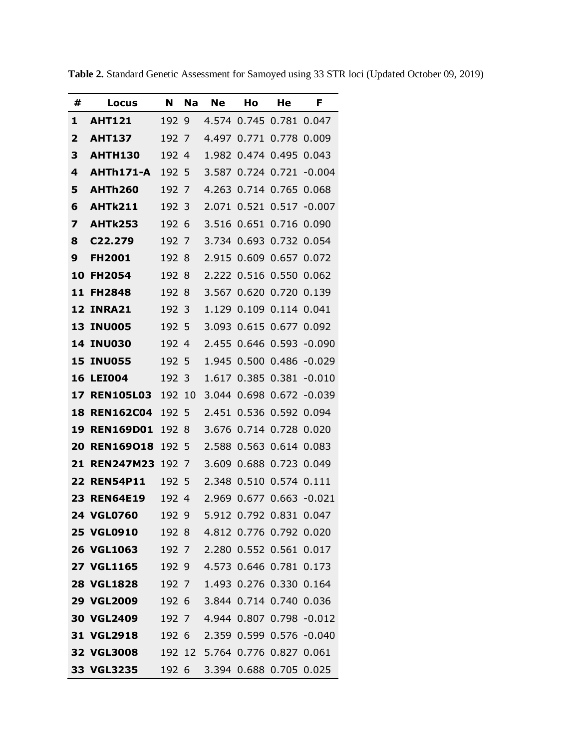| #  | Locus               | N                | <b>Na</b> | <b>Ne</b>                      | Ho                | He                      | F                             |
|----|---------------------|------------------|-----------|--------------------------------|-------------------|-------------------------|-------------------------------|
| 1  | <b>AHT121</b>       | 192 9            |           |                                |                   | 4.574 0.745 0.781 0.047 |                               |
| 2  | <b>AHT137</b>       | 192 7            |           | 4.497                          | 0.771             | 0.778                   | 0.009                         |
| 3  | <b>AHTH130</b>      | 192 4            |           |                                |                   | 1.982 0.474 0.495 0.043 |                               |
| 4  | AHTh171-A           | 192 5            |           | 3.587                          |                   | 0.724 0.721             | $-0.004$                      |
| 5  | <b>AHTh260</b>      | 192 7            |           |                                |                   | 4.263 0.714 0.765       | 0.068                         |
| 6  | <b>AHTk211</b>      | 192 3            |           | 2.071                          | 0.521             | 0.517                   | $-0.007$                      |
| 7  | <b>AHTk253</b>      | 192 6            |           |                                | 3.516 0.651       | 0.716                   | 0.090                         |
| 8  | C22.279             | 192 7            |           |                                | 3.734 0.693       |                         | 0.732 0.054                   |
| 9  | <b>FH2001</b>       | 192 8            |           |                                | 2.915 0.609       | 0.657                   | 0.072                         |
| 10 | <b>FH2054</b>       | 192 8            |           |                                | 2.222 0.516 0.550 |                         | 0.062                         |
| 11 | <b>FH2848</b>       | 192 8            |           | 3.567                          | 0.620             | 0.720 0.139             |                               |
|    | <b>12 INRA21</b>    | 192 3            |           |                                |                   | 1.129 0.109 0.114 0.041 |                               |
| 13 | <b>INU005</b>       | 192 5            |           |                                | 3.093 0.615       | 0.677 0.092             |                               |
|    | <b>14 INU030</b>    | 192 4            |           |                                |                   |                         | 2.455 0.646 0.593 -0.090      |
| 15 | <b>INU055</b>       | 192 5            |           | 1.945                          | 0.500             |                         | 0.486 -0.029                  |
| 16 | <b>LEI004</b>       | 192 3            |           |                                |                   | 1.617 0.385 0.381       | $-0.010$                      |
|    | <b>17 REN105L03</b> | 192 10           |           |                                |                   |                         | 3.044 0.698 0.672 -0.039      |
|    | <b>18 REN162C04</b> | 192 5            |           |                                |                   | 2.451 0.536 0.592 0.094 |                               |
| 19 | <b>REN169D01</b>    | 192 8            |           |                                |                   | 3.676 0.714 0.728 0.020 |                               |
|    | 20 REN169018        | 192 5            |           |                                |                   | 2.588 0.563 0.614 0.083 |                               |
|    | 21 REN247M23        | 192 7            |           | 3.609                          |                   | 0.688 0.723 0.049       |                               |
|    | <b>22 REN54P11</b>  | 192 5            |           |                                | 2.348 0.510       | 0.574 0.111             |                               |
|    | <b>23 REN64E19</b>  | 192 4            |           |                                |                   |                         | 2.969 0.677 0.663 -0.021      |
|    | <b>24 VGL0760</b>   |                  |           |                                |                   |                         | 192 9 5.912 0.792 0.831 0.047 |
|    | <b>25 VGL0910</b>   |                  |           | 192 8 4.812 0.776 0.792 0.020  |                   |                         |                               |
|    | <b>26 VGL1063</b>   | 192 7            |           |                                |                   | 2.280 0.552 0.561 0.017 |                               |
|    | <b>27 VGL1165</b>   | 192 9            |           |                                |                   | 4.573 0.646 0.781 0.173 |                               |
|    | <b>28 VGL1828</b>   | 192 7            |           |                                |                   | 1.493 0.276 0.330 0.164 |                               |
|    | <b>29 VGL2009</b>   | 192 <sub>6</sub> |           |                                |                   | 3.844 0.714 0.740 0.036 |                               |
|    | 30 VGL2409          | 192 7            |           |                                |                   |                         | 4.944 0.807 0.798 -0.012      |
|    | <b>31 VGL2918</b>   | 192 6            |           |                                |                   |                         | 2.359 0.599 0.576 -0.040      |
|    | 32 VGL3008          |                  |           | 192 12 5.764 0.776 0.827 0.061 |                   |                         |                               |
|    | 33 VGL3235          | 192 6            |           |                                |                   | 3.394 0.688 0.705 0.025 |                               |

**Table 2.** Standard Genetic Assessment for Samoyed using 33 STR loci (Updated October 09, 2019)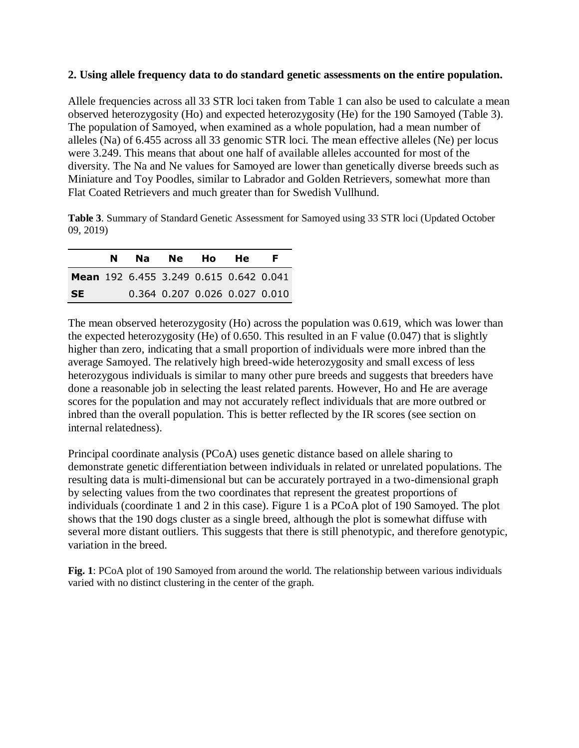#### **2. Using allele frequency data to do standard genetic assessments on the entire population.**

Allele frequencies across all 33 STR loci taken from Table 1 can also be used to calculate a mean observed heterozygosity (Ho) and expected heterozygosity (He) for the 190 Samoyed (Table 3). The population of Samoyed, when examined as a whole population, had a mean number of alleles (Na) of 6.455 across all 33 genomic STR loci. The mean effective alleles (Ne) per locus were 3.249. This means that about one half of available alleles accounted for most of the diversity. The Na and Ne values for Samoyed are lower than genetically diverse breeds such as Miniature and Toy Poodles, similar to Labrador and Golden Retrievers, somewhat more than Flat Coated Retrievers and much greater than for Swedish Vullhund.

**Table 3**. Summary of Standard Genetic Assessment for Samoyed using 33 STR loci (Updated October 09, 2019)

|           | N. |                                               | Na Ne Ho |                               | <b>He</b> | F. |
|-----------|----|-----------------------------------------------|----------|-------------------------------|-----------|----|
|           |    | <b>Mean</b> 192 6.455 3.249 0.615 0.642 0.041 |          |                               |           |    |
| <b>SE</b> |    |                                               |          | 0.364 0.207 0.026 0.027 0.010 |           |    |

The mean observed heterozygosity (Ho) across the population was 0.619, which was lower than the expected heterozygosity (He) of 0.650. This resulted in an F value (0.047) that is slightly higher than zero, indicating that a small proportion of individuals were more inbred than the average Samoyed. The relatively high breed-wide heterozygosity and small excess of less heterozygous individuals is similar to many other pure breeds and suggests that breeders have done a reasonable job in selecting the least related parents. However, Ho and He are average scores for the population and may not accurately reflect individuals that are more outbred or inbred than the overall population. This is better reflected by the IR scores (see section on internal relatedness).

Principal coordinate analysis (PCoA) uses genetic distance based on allele sharing to demonstrate genetic differentiation between individuals in related or unrelated populations. The resulting data is multi-dimensional but can be accurately portrayed in a two-dimensional graph by selecting values from the two coordinates that represent the greatest proportions of individuals (coordinate 1 and 2 in this case). Figure 1 is a PCoA plot of 190 Samoyed. The plot shows that the 190 dogs cluster as a single breed, although the plot is somewhat diffuse with several more distant outliers. This suggests that there is still phenotypic, and therefore genotypic, variation in the breed.

**Fig. 1**: PCoA plot of 190 Samoyed from around the world. The relationship between various individuals varied with no distinct clustering in the center of the graph.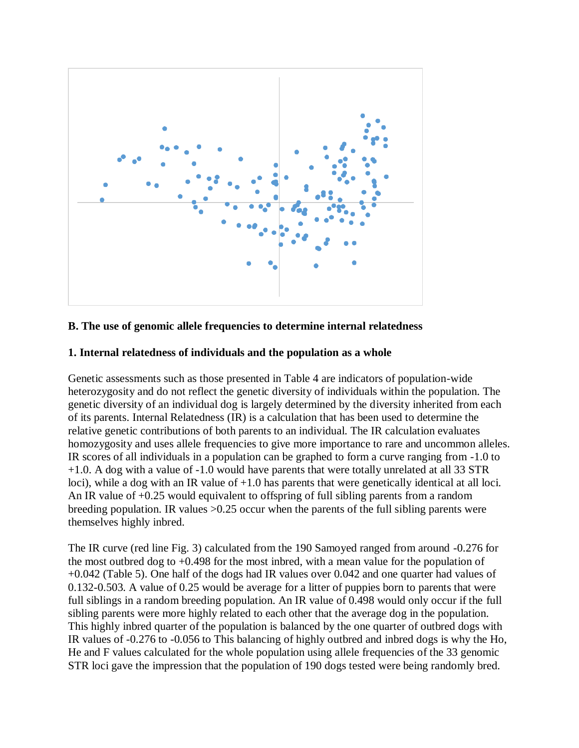

#### **B. The use of genomic allele frequencies to determine internal relatedness**

#### **1. Internal relatedness of individuals and the population as a whole**

Genetic assessments such as those presented in Table 4 are indicators of population-wide heterozygosity and do not reflect the genetic diversity of individuals within the population. The genetic diversity of an individual dog is largely determined by the diversity inherited from each of its parents. Internal Relatedness (IR) is a calculation that has been used to determine the relative genetic contributions of both parents to an individual. The IR calculation evaluates homozygosity and uses allele frequencies to give more importance to rare and uncommon alleles. IR scores of all individuals in a population can be graphed to form a curve ranging from -1.0 to +1.0. A dog with a value of -1.0 would have parents that were totally unrelated at all 33 STR loci), while a dog with an IR value of  $+1.0$  has parents that were genetically identical at all loci. An IR value of +0.25 would equivalent to offspring of full sibling parents from a random breeding population. IR values >0.25 occur when the parents of the full sibling parents were themselves highly inbred.

The IR curve (red line Fig. 3) calculated from the 190 Samoyed ranged from around -0.276 for the most outbred dog to +0.498 for the most inbred, with a mean value for the population of +0.042 (Table 5). One half of the dogs had IR values over 0.042 and one quarter had values of 0.132-0.503. A value of 0.25 would be average for a litter of puppies born to parents that were full siblings in a random breeding population. An IR value of 0.498 would only occur if the full sibling parents were more highly related to each other that the average dog in the population. This highly inbred quarter of the population is balanced by the one quarter of outbred dogs with IR values of -0.276 to -0.056 to This balancing of highly outbred and inbred dogs is why the Ho, He and F values calculated for the whole population using allele frequencies of the 33 genomic STR loci gave the impression that the population of 190 dogs tested were being randomly bred.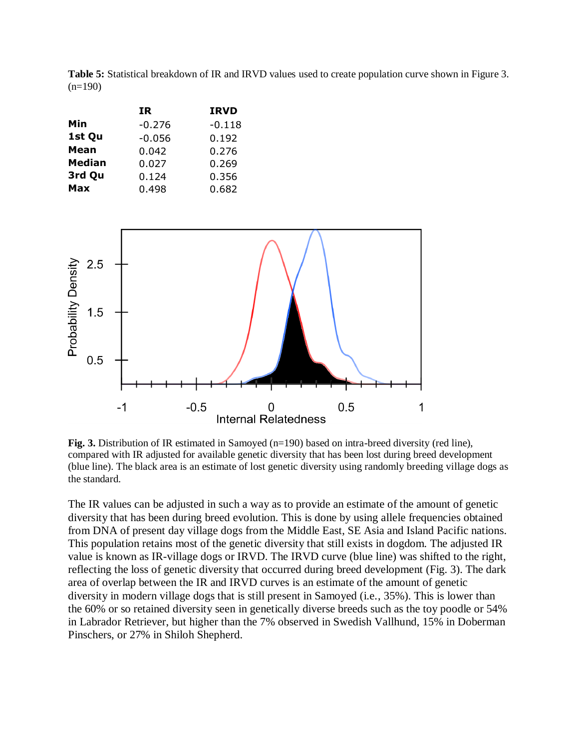**Table 5:** Statistical breakdown of IR and IRVD values used to create population curve shown in Figure 3.  $(n=190)$ 

|               | IR.      | <b>IRVD</b> |
|---------------|----------|-------------|
| Min           | $-0.276$ | $-0.118$    |
| 1st Qu        | $-0.056$ | 0.192       |
| Mean          | 0.042    | 0.276       |
| <b>Median</b> | 0.027    | 0.269       |
| 3rd Qu        | 0.124    | 0.356       |
| Max           | 0.498    | 0.682       |
|               |          |             |



**Fig. 3.** Distribution of IR estimated in Samoved (n=190) based on intra-breed diversity (red line), compared with IR adjusted for available genetic diversity that has been lost during breed development (blue line). The black area is an estimate of lost genetic diversity using randomly breeding village dogs as the standard.

The IR values can be adjusted in such a way as to provide an estimate of the amount of genetic diversity that has been during breed evolution. This is done by using allele frequencies obtained from DNA of present day village dogs from the Middle East, SE Asia and Island Pacific nations. This population retains most of the genetic diversity that still exists in dogdom. The adjusted IR value is known as IR-village dogs or IRVD. The IRVD curve (blue line) was shifted to the right, reflecting the loss of genetic diversity that occurred during breed development (Fig. 3). The dark area of overlap between the IR and IRVD curves is an estimate of the amount of genetic diversity in modern village dogs that is still present in Samoyed (i.e., 35%). This is lower than the 60% or so retained diversity seen in genetically diverse breeds such as the toy poodle or 54% in Labrador Retriever, but higher than the 7% observed in Swedish Vallhund, 15% in Doberman Pinschers, or 27% in Shiloh Shepherd.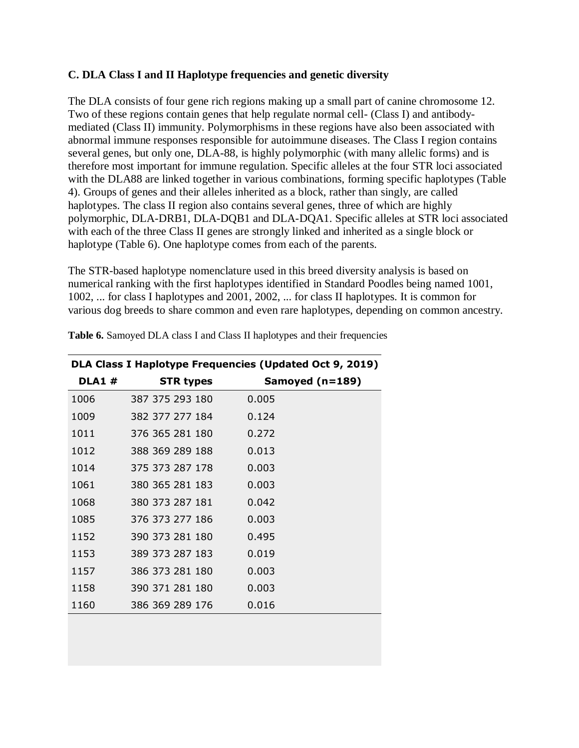### **C. DLA Class I and II Haplotype frequencies and genetic diversity**

The DLA consists of four gene rich regions making up a small part of canine chromosome 12. Two of these regions contain genes that help regulate normal cell- (Class I) and antibodymediated (Class II) immunity. Polymorphisms in these regions have also been associated with abnormal immune responses responsible for autoimmune diseases. The Class I region contains several genes, but only one, DLA-88, is highly polymorphic (with many allelic forms) and is therefore most important for immune regulation. Specific alleles at the four STR loci associated with the DLA88 are linked together in various combinations, forming specific haplotypes (Table 4). Groups of genes and their alleles inherited as a block, rather than singly, are called haplotypes. The class II region also contains several genes, three of which are highly polymorphic, DLA-DRB1, DLA-DQB1 and DLA-DQA1. Specific alleles at STR loci associated with each of the three Class II genes are strongly linked and inherited as a single block or haplotype (Table 6). One haplotype comes from each of the parents.

The STR-based haplotype nomenclature used in this breed diversity analysis is based on numerical ranking with the first haplotypes identified in Standard Poodles being named 1001, 1002, ... for class I haplotypes and 2001, 2002, ... for class II haplotypes. It is common for various dog breeds to share common and even rare haplotypes, depending on common ancestry.

| DLA Class I Haplotype Frequencies (Updated Oct 9, 2019) |                  |                 |  |  |  |  |  |  |  |  |  |  |
|---------------------------------------------------------|------------------|-----------------|--|--|--|--|--|--|--|--|--|--|
| <b>DLA1#</b>                                            | <b>STR types</b> | Samoyed (n=189) |  |  |  |  |  |  |  |  |  |  |
| 1006                                                    | 387 375 293 180  | 0.005           |  |  |  |  |  |  |  |  |  |  |
| 1009                                                    | 382 377 277 184  | 0.124           |  |  |  |  |  |  |  |  |  |  |
| 1011                                                    | 376 365 281 180  | 0.272           |  |  |  |  |  |  |  |  |  |  |
| 1012                                                    | 388 369 289 188  | 0.013           |  |  |  |  |  |  |  |  |  |  |
| 1014                                                    | 375 373 287 178  | 0.003           |  |  |  |  |  |  |  |  |  |  |
| 1061                                                    | 380 365 281 183  | 0.003           |  |  |  |  |  |  |  |  |  |  |
| 1068                                                    | 380 373 287 181  | 0.042           |  |  |  |  |  |  |  |  |  |  |
| 1085                                                    | 376 373 277 186  | 0.003           |  |  |  |  |  |  |  |  |  |  |
| 1152                                                    | 390 373 281 180  | 0.495           |  |  |  |  |  |  |  |  |  |  |
| 1153                                                    | 389 373 287 183  | 0.019           |  |  |  |  |  |  |  |  |  |  |
| 1157                                                    | 386 373 281 180  | 0.003           |  |  |  |  |  |  |  |  |  |  |
| 1158                                                    | 390 371 281 180  | 0.003           |  |  |  |  |  |  |  |  |  |  |
| 1160                                                    | 386 369 289 176  | 0.016           |  |  |  |  |  |  |  |  |  |  |
|                                                         |                  |                 |  |  |  |  |  |  |  |  |  |  |

**Table 6.** Samoyed DLA class I and Class II haplotypes and their frequencies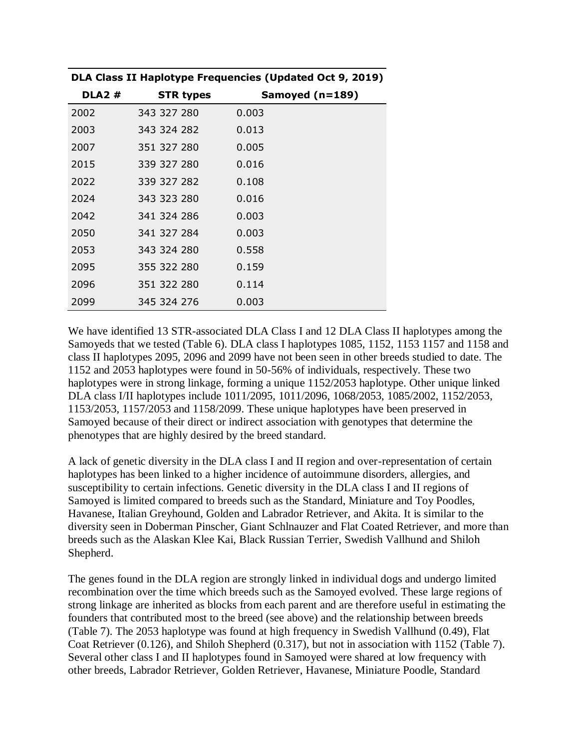| <b>DLA2#</b> | <b>STR types</b> | Samoyed (n=189) |
|--------------|------------------|-----------------|
| 2002         | 343 327 280      | 0.003           |
| 2003         | 343 324 282      | 0.013           |
| 2007         | 351 327 280      | 0.005           |
| 2015         | 339 327 280      | 0.016           |
| 2022         | 339 327 282      | 0.108           |
| 2024         | 343 323 280      | 0.016           |
| 2042         | 341 324 286      | 0.003           |
| 2050         | 341 327 284      | 0.003           |
| 2053         | 343 324 280      | 0.558           |
| 2095         | 355 322 280      | 0.159           |
| 2096         | 351 322 280      | 0.114           |
| 2099         | 345 324 276      | 0.003           |

**DLA Class II Haplotype Frequencies (Updated Oct 9, 2019)**

We have identified 13 STR-associated DLA Class I and 12 DLA Class II haplotypes among the Samoyeds that we tested (Table 6). DLA class I haplotypes 1085, 1152, 1153 1157 and 1158 and class II haplotypes 2095, 2096 and 2099 have not been seen in other breeds studied to date. The 1152 and 2053 haplotypes were found in 50-56% of individuals, respectively. These two haplotypes were in strong linkage, forming a unique 1152/2053 haplotype. Other unique linked DLA class I/II haplotypes include 1011/2095, 1011/2096, 1068/2053, 1085/2002, 1152/2053, 1153/2053, 1157/2053 and 1158/2099. These unique haplotypes have been preserved in Samoyed because of their direct or indirect association with genotypes that determine the phenotypes that are highly desired by the breed standard.

A lack of genetic diversity in the DLA class I and II region and over-representation of certain haplotypes has been linked to a higher incidence of autoimmune disorders, allergies, and susceptibility to certain infections. Genetic diversity in the DLA class I and II regions of Samoyed is limited compared to breeds such as the Standard, Miniature and Toy Poodles, Havanese, Italian Greyhound, Golden and Labrador Retriever, and Akita. It is similar to the diversity seen in Doberman Pinscher, Giant Schlnauzer and Flat Coated Retriever, and more than breeds such as the Alaskan Klee Kai, Black Russian Terrier, Swedish Vallhund and Shiloh Shepherd.

The genes found in the DLA region are strongly linked in individual dogs and undergo limited recombination over the time which breeds such as the Samoyed evolved. These large regions of strong linkage are inherited as blocks from each parent and are therefore useful in estimating the founders that contributed most to the breed (see above) and the relationship between breeds (Table 7). The 2053 haplotype was found at high frequency in Swedish Vallhund (0.49), Flat Coat Retriever (0.126), and Shiloh Shepherd (0.317), but not in association with 1152 (Table 7). Several other class I and II haplotypes found in Samoyed were shared at low frequency with other breeds, Labrador Retriever, Golden Retriever, Havanese, Miniature Poodle, Standard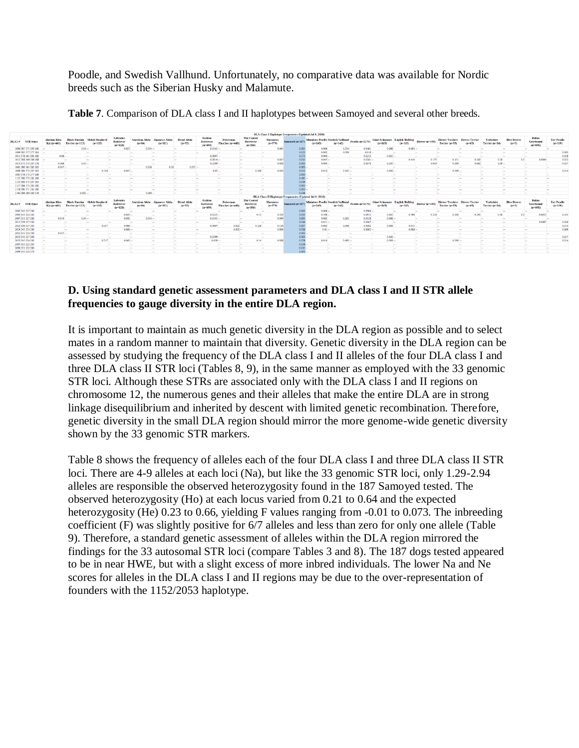Poodle, and Swedish Vallhund. Unfortunately, no comparative data was available for Nordic breeds such as the Siberian Husky and Malamute.

|                         |                                    |                                           |                                    |                                                                                                                                                                                                                                      |                                                                                                                                                                                                                                      |                                       |                                   |                                           |                                                                                                                                                                                                                                                        |                                                     |                              |                 | DLA Class I Haplotype Frequencies (Updated Jul 9, 2018)         |                 |                                                                                                                                                                                                                                                     |                                     |                                                                                                                                                                                                                                      |                          |                                            |                                                                                                                                                                                                                                      |                                    |                               |                                   |                                |
|-------------------------|------------------------------------|-------------------------------------------|------------------------------------|--------------------------------------------------------------------------------------------------------------------------------------------------------------------------------------------------------------------------------------|--------------------------------------------------------------------------------------------------------------------------------------------------------------------------------------------------------------------------------------|---------------------------------------|-----------------------------------|-------------------------------------------|--------------------------------------------------------------------------------------------------------------------------------------------------------------------------------------------------------------------------------------------------------|-----------------------------------------------------|------------------------------|-----------------|-----------------------------------------------------------------|-----------------|-----------------------------------------------------------------------------------------------------------------------------------------------------------------------------------------------------------------------------------------------------|-------------------------------------|--------------------------------------------------------------------------------------------------------------------------------------------------------------------------------------------------------------------------------------|--------------------------|--------------------------------------------|--------------------------------------------------------------------------------------------------------------------------------------------------------------------------------------------------------------------------------------|------------------------------------|-------------------------------|-----------------------------------|--------------------------------|
| DLA1 # STR types        | <b>Alaskan Klee</b><br>Kai (n=461) | <b>Black Russian</b><br>Terrier (n=113)   | <b>Shiloh Shepher</b><br>$(n=115)$ | Labrador<br><b>Retriever</b><br>$(n=128)$                                                                                                                                                                                            | American Akita<br>$(n-84)$                                                                                                                                                                                                           | Jananese Akita<br>$6 - 311$           | <b>Blend Akits</b><br>$(n=53)$    | <b>Golden</b><br>Retriever<br>$(n = 690)$ | <b>Doberman</b><br>Pinscher (n=448)                                                                                                                                                                                                                    | <b>Flat Coated</b><br><b>Retriever</b><br>$(n=386)$ | <b>Havanese</b><br>$(n=379)$ | Samoyed (n-187) | <b>Miniature Poodle Swedish Vallhund</b><br>$(m=245)$           | $(n=142)$       | Poodle $(n-217)$                                                                                                                                                                                                                                    | <b>Giant Schnauzer</b><br>$(n-165)$ | <b>English Bulldog</b><br>$(n-163)$                                                                                                                                                                                                  | Biewer (n=103            | <b>Biewer Yorshire</b><br>Terrier $(n=53)$ | <b>Biewer</b><br>$(m=65)$                                                                                                                                                                                                            | Yorkshire<br>Terrier (n=16)        | <b>Biro Biewer</b><br>$(m=3)$ | Italian<br>Greyhound<br>$(n=691)$ | <b>Toy Poodle</b><br>$(n=109)$ |
| 1006 387 375 293 180    |                                    | $0.04 -$                                  |                                    | 0.027                                                                                                                                                                                                                                | $0.054 -$                                                                                                                                                                                                                            |                                       | L.                                | $0.0145 -$                                | <b>COL</b>                                                                                                                                                                                                                                             |                                                     | 0.045                        | 0.002           | 0.004                                                           | 0.254           | 0.0461                                                                                                                                                                                                                                              | 0.048                               | $0.003 -$                                                                                                                                                                                                                            |                          |                                            |                                                                                                                                                                                                                                      |                                    |                               |                                   |                                |
| 1009 382 377 277 184    |                                    |                                           | <b>Inches</b>                      |                                                                                                                                                                                                                                      |                                                                                                                                                                                                                                      |                                       |                                   |                                           |                                                                                                                                                                                                                                                        | land.                                               | <b>Contract</b>              | 0.123           | 0.082                                                           | 0.056           | $0.018 -$                                                                                                                                                                                                                                           |                                     | <b>The Contract of the Contract of the Contract of the Contract of the Contract of the Contract of The Contract of The Contract of The Contract of The Contract of The Contract of The Contract of The Contract of The Contract </b> | <b>Taxable</b>           |                                            |                                                                                                                                                                                                                                      |                                    |                               |                                   | 0.083                          |
| 1011 376 365 281 180    |                                    | $0.06 -$                                  | <b>COLLEGE</b>                     | <b>Security</b>                                                                                                                                                                                                                      | <b>Contract</b>                                                                                                                                                                                                                      | <b>Security</b>                       | <b>Sec.</b>                       | $0.0007 -$                                | <b>Contract</b>                                                                                                                                                                                                                                        |                                                     | <b>Security</b>              | 0.273           | $0.004 -$                                                       |                 | 0.0212                                                                                                                                                                                                                                              | $0.015 -$                           |                                                                                                                                                                                                                                      | <b>Text</b>              |                                            |                                                                                                                                                                                                                                      |                                    | <b>Total</b>                  |                                   | 0.028                          |
| 1012 388 369 289 188    |                                    | <b>The Contract</b>                       | <b>Service</b>                     | <b>The Contract of the Contract of the Contract of the Contract of the Contract of the Contract of the Contract of the Contract of the Contract of the Contract of the Contract of the Contract of the Contract of the Contract </b> | <b>Contract Contract</b>                                                                                                                                                                                                             | <b>Service</b>                        | <b>Section</b>                    | $0.0014 -$                                |                                                                                                                                                                                                                                                        | <b>COLLEGE</b>                                      | 0.017                        | 0.013           | $0.047 -$                                                       |                 | 0.0101                                                                                                                                                                                                                                              |                                     | 0.414                                                                                                                                                                                                                                | 0.175                    | 0.151                                      | 0.262                                                                                                                                                                                                                                | 0.28                               | 0.2                           | 0.0094                            | 0.032                          |
| 1014 375 373 287 178    | 0.366                              | $0.04 -$                                  |                                    | $\sim$                                                                                                                                                                                                                               |                                                                                                                                                                                                                                      | <b>Service</b>                        | $\sim$                            | 0.0399                                    | <b>Section</b>                                                                                                                                                                                                                                         |                                                     | 0.036                        | 0.003           | $0.004 -$                                                       |                 | 0.0078                                                                                                                                                                                                                                              | $0.245 -$                           |                                                                                                                                                                                                                                      | 0.019                    | 0.009                                      | 0.062                                                                                                                                                                                                                                | $0.09 -$                           |                               | <b>Service</b>                    | 0.037                          |
| 1061 380 365 281 183    | $0.047 -$                          |                                           | <b>Security</b>                    | $\sim$                                                                                                                                                                                                                               | 0.036                                                                                                                                                                                                                                | 0.18                                  | $0.075 -$                         |                                           | <b>CONTRACTOR</b><br><b>Section</b>                                                                                                                                                                                                                    |                                                     | $\sim$                       | 0.003           |                                                                 | . .             | -<br><b>140</b>                                                                                                                                                                                                                                     |                                     | <b>Service</b>                                                                                                                                                                                                                       | <b>Service</b>           |                                            | -                                                                                                                                                                                                                                    | han i                              | <b>CONTRACTOR</b>             | <b>COLUMN</b>                     | <b>Section</b>                 |
| 1068 380 373 287 181 -- |                                    | <b>Service</b>                            | 0.248                              | $0.047 -$                                                                                                                                                                                                                            |                                                                                                                                                                                                                                      | <b>Service</b>                        | $\sim$                            | $0.05 -$                                  |                                                                                                                                                                                                                                                        | 0.268                                               | 0.016                        | 0.043           | 0.014                                                           | $0.342 -$       |                                                                                                                                                                                                                                                     | $0.036 -$                           |                                                                                                                                                                                                                                      | <b>Sec.</b>              | $0.009 -$                                  |                                                                                                                                                                                                                                      | <b>Service</b>                     | <b>Contract</b>               | <b>Contract</b>                   | 0.014                          |
| 1085 376 373 277 186    |                                    |                                           | <b>Section</b>                     | <b>Contract</b>                                                                                                                                                                                                                      |                                                                                                                                                                                                                                      | <b>Security</b>                       | <b>Taxable</b><br><b>Contract</b> |                                           | <b>Contract</b>                                                                                                                                                                                                                                        |                                                     | <b>Contract Contract</b>     | 7000            |                                                                 | <b>Contract</b> | <b>Contract</b>                                                                                                                                                                                                                                     |                                     | <b>Section</b>                                                                                                                                                                                                                       | <b>Security</b>          |                                            | <b>Security</b>                                                                                                                                                                                                                      | <b>Inch</b>                        | <b>Security</b>               |                                   | <b>Security</b>                |
| 1152 390 373 281 180    |                                    |                                           | more.                              | <b>Contract</b>                                                                                                                                                                                                                      | <b>COLLECTION</b>                                                                                                                                                                                                                    | <b>STATE</b>                          | <b>Local</b><br><b>Contract</b>   |                                           | <b>Contract</b><br><b>Service</b>                                                                                                                                                                                                                      |                                                     | <b>Contract</b>              | 0.495           |                                                                 | <b>Sec</b>      | <b>The State</b><br><b>Law</b>                                                                                                                                                                                                                      |                                     | <b>Contract</b>                                                                                                                                                                                                                      | <b>Security</b>          | <b>Contract</b>                            | <b>Contract</b>                                                                                                                                                                                                                      | <b>Local</b>                       | come of                       | <b>Taxable</b>                    | <b>Sec.</b>                    |
| 1153 389 373 287 183    |                                    |                                           | $\sim$                             | $\sim$                                                                                                                                                                                                                               | $\sim$                                                                                                                                                                                                                               | <b>Service</b>                        | $\sim$<br><b>Service</b>          |                                           | $\sim$<br><b>Service</b>                                                                                                                                                                                                                               |                                                     | <b>Service</b>               | $0.019 -$       |                                                                 | <b>1999</b>     | -<br><b>Section</b>                                                                                                                                                                                                                                 |                                     | -                                                                                                                                                                                                                                    | <b>COLLEGE</b>           | <b>COL</b>                                 | <b>Service</b>                                                                                                                                                                                                                       | <b>Section</b>                     | $\sim$                        | <b>Section</b>                    | $\sim$                         |
| 1157 386 373 281 180    |                                    |                                           | <b>Section</b>                     | <b>The Contract of the Contract of the Contract of the Contract of the Contract of the Contract of the Contract of the Contract of the Contract of the Contract of the Contract of the Contract of the Contract of the Contract </b> | <b>The Contract of the Contract of the Contract of the Contract of the Contract of the Contract of the Contract of the Contract of the Contract of The Contract of The Contract of The Contract of The Contract of The Contract </b> | <b>Service</b>                        | <b>Service</b><br><b>Taxable</b>  |                                           | <b>The Contract of the Contract of the Contract of the Contract of the Contract of the Contract of the Contract of the Contract of the Contract of the Contract of the Contract of the Contract of the Contract of the Contract </b><br><b>Service</b> |                                                     | <b>Service</b>               | 0.003           |                                                                 | <b>Taxa</b>     | <b>The Contract of the Contract of the Contract of the Contract of the Contract of the Contract of the Contract of the Contract of the Contract of the Contract of the Contract of the Contract of the Contract of the Contract </b><br><b>Taxa</b> |                                     | <b>Section</b>                                                                                                                                                                                                                       | $\overline{\phantom{a}}$ | <b>Taxa</b>                                | <b>Service</b>                                                                                                                                                                                                                       | las.                               | <b>Service</b>                | <b>Section</b>                    | in a                           |
| 1158 390 371 281 180    |                                    |                                           | <b>Section</b>                     | <b>Section</b>                                                                                                                                                                                                                       |                                                                                                                                                                                                                                      | <b>Service</b>                        | <b>Section</b><br>$\sim$          |                                           | <b>Contract</b>                                                                                                                                                                                                                                        |                                                     | <b>Service</b>               | 0.003           |                                                                 |                 | <b>Service</b>                                                                                                                                                                                                                                      |                                     | $\sim$                                                                                                                                                                                                                               | <b>Section</b>           |                                            | <b>Service</b>                                                                                                                                                                                                                       |                                    | <b>Service</b>                |                                   | <b>Security</b>                |
| 1160 386 369 289 176    |                                    | $0.031 -$                                 |                                    | <b>Sec.</b>                                                                                                                                                                                                                          | $0.006 -$                                                                                                                                                                                                                            |                                       | <b>Taxable</b><br><b>Contract</b> |                                           | <b>Sec.</b>                                                                                                                                                                                                                                            |                                                     |                              | 0.016           |                                                                 |                 |                                                                                                                                                                                                                                                     |                                     | <b>Security</b>                                                                                                                                                                                                                      | <b>Sec.</b>              |                                            | <b>Security</b>                                                                                                                                                                                                                      | <b>Inch</b>                        | <b>Taxable</b>                |                                   | <b>Sec.</b>                    |
|                         |                                    |                                           |                                    |                                                                                                                                                                                                                                      |                                                                                                                                                                                                                                      |                                       |                                   |                                           |                                                                                                                                                                                                                                                        |                                                     |                              |                 | <b>DLA Class II Haplotype Frequencies (Updated Jul 9, 2018)</b> |                 |                                                                                                                                                                                                                                                     |                                     |                                                                                                                                                                                                                                      |                          |                                            |                                                                                                                                                                                                                                      |                                    |                               |                                   |                                |
| DLA2 # STR types        | Alaskan Klee<br>Kai (n=461)        | <b>Black Russian</b><br>Terrier $(n=113)$ | <b>Shiloh Shepher</b><br>$(n-115)$ | Labrador<br>Retriever<br>$(n=128)$                                                                                                                                                                                                   | <b>American Akita</b><br>$(n-84)$                                                                                                                                                                                                    | Akita<br><b>Jananese</b><br>$(n-311)$ | <b>Blend Akita</b><br>$(n=53)$    | Golden<br><b>Retriever</b><br>$(n = 690)$ | Doberman<br>Pinscher (n=448)                                                                                                                                                                                                                           | <b>Flat Coated</b><br>Retriever<br>$(n=386)$        | <b>Havanese</b><br>$(m=379)$ | Samoyed (n=187) | <b>Miniature Poodle Swedish Vallhund</b><br>$(m=245)$           | $(n-142)$       | Poodle $(n=217)$                                                                                                                                                                                                                                    | <b>Giant Schnauzer</b><br>$(n-165)$ | <b>English Bulldog</b><br>$(n-163)$                                                                                                                                                                                                  | Biewer (n=103            | <b>Biewer Yorshire</b><br>Terrier $(n=53)$ | <b>Biewer</b><br>$(m = 65)$                                                                                                                                                                                                          | <b>Yorkshire</b><br>Terrier (n=16) | <b>Biro Biewer</b><br>$(m=3)$ | Italian<br>Greyhound<br>$(n=691)$ | <b>Toy Poodle</b><br>$(n-109)$ |
| 2002 343 327 280        |                                    |                                           | <b>Section</b>                     |                                                                                                                                                                                                                                      |                                                                                                                                                                                                                                      | -                                     |                                   |                                           |                                                                                                                                                                                                                                                        |                                                     | <b>Service</b>               | 0.00            | 0.004                                                           |                 | 0.0906                                                                                                                                                                                                                                              |                                     | <b>Service</b>                                                                                                                                                                                                                       | <b>Section</b>           |                                            |                                                                                                                                                                                                                                      |                                    |                               |                                   |                                |
| 2003 343 324 282        |                                    |                                           | $\sim$                             | 0.023                                                                                                                                                                                                                                |                                                                                                                                                                                                                                      | <b>Service</b>                        | <b>Section</b>                    | $0.0225 -$                                |                                                                                                                                                                                                                                                        | 0.13                                                | 0.223                        | 0.013           | $0.508$ $-$                                                     |                 | 0.0915                                                                                                                                                                                                                                              | 0.042                               | 0.598                                                                                                                                                                                                                                | 0.218                    | 0.208                                      | 0.292                                                                                                                                                                                                                                | 0.38                               | 0.2                           | 0.0072                            | 0.445                          |
| 2007 351 327 280        | 0.014                              | $0.04 -$                                  |                                    | 0.031                                                                                                                                                                                                                                | $0.054 -$                                                                                                                                                                                                                            |                                       | <b>Taxable</b>                    | $0.0145 -$                                | <b>Taxable</b>                                                                                                                                                                                                                                         |                                                     | 0.049                        | 0.005           | 0.002                                                           | 0.261           | 0.0138                                                                                                                                                                                                                                              | $0.048 -$                           |                                                                                                                                                                                                                                      | <b>Security</b>          |                                            | <b>Service</b>                                                                                                                                                                                                                       |                                    | <b>Low</b>                    |                                   | <b>Contract</b>                |
| 2015 339 327 280        |                                    | come of                                   | <b>COLUMN</b>                      | <b>Security</b>                                                                                                                                                                                                                      | <b>The Contract</b>                                                                                                                                                                                                                  | <b>COLOR</b>                          | <b>Local</b>                      |                                           | <b>Last</b>                                                                                                                                                                                                                                            |                                                     |                              | 0.016           | $0.051 -$                                                       |                 | 0.0067                                                                                                                                                                                                                                              |                                     | <b>The Contract of the Contract of the Contract of the Contract of the Contract of the Contract of the Contract of the Contract of the Contract of the Contract of the Contract of the Contract of The Contract of The Contract </b> | come of                  | <b>Taxable</b>                             | <b>Contract</b>                                                                                                                                                                                                                      | <b>Local</b>                       | come of                       | 0.0087                            | 0.046                          |
| 2022 339 327 282        | <b><i><u>Property</u></i></b>      | $\sim$                                    | 0.057                              | $0.086 -$                                                                                                                                                                                                                            |                                                                                                                                                                                                                                      | <b>Service</b>                        | $\sim$                            | 0.0007                                    | 0.002                                                                                                                                                                                                                                                  | 0.126                                               | 0.116                        | 0.10            | 0.002                                                           | 0.056           | 0.0002                                                                                                                                                                                                                                              | 0.006                               | $0.015 -$                                                                                                                                                                                                                            |                          | <b>COL</b>                                 | <b>Service</b>                                                                                                                                                                                                                       | <b>Section</b>                     | <b>Service</b>                | <b>Section</b>                    | 0.014                          |
| 2024 343 323 280        |                                    | <b>Security</b>                           | <b>Service</b>                     | 0.066                                                                                                                                                                                                                                |                                                                                                                                                                                                                                      | <b>Security</b>                       | <b>Low</b><br><b>Security</b>     |                                           | $0.001 -$                                                                                                                                                                                                                                              |                                                     | 0.004                        | 0.016           | $0.01 -$                                                        |                 | $0.0002 -$                                                                                                                                                                                                                                          |                                     | $0.006 -$                                                                                                                                                                                                                            |                          |                                            | <b>Contract of the Contract of the Contract of the Contract of the Contract of the Contract of the Contract of the Contract of the Contract of the Contract of the Contract of the Contract of the Contract of the Contract of t</b> | <b>Long</b>                        | <b>Service</b>                | <b>Section</b>                    | 0.069                          |
| 2042 341 324 286        | $0.047 -$                          |                                           | $\sim$                             | <b>Section</b>                                                                                                                                                                                                                       |                                                                                                                                                                                                                                      | <b>Service</b>                        | <b>Section</b><br>-               |                                           | <b>Contract</b>                                                                                                                                                                                                                                        |                                                     | $\sim$                       | 0.003           |                                                                 | . .             | -<br><b>Inches</b>                                                                                                                                                                                                                                  |                                     | <b>Color</b>                                                                                                                                                                                                                         | <b>Service</b>           |                                            | <b>Service</b>                                                                                                                                                                                                                       | <b>Section</b>                     | $\sim$                        | <b>College</b>                    | <b>Section</b>                 |
| 2050 341 327 284        |                                    | <b>Security</b>                           | <b>Section</b>                     | <b>Section</b>                                                                                                                                                                                                                       |                                                                                                                                                                                                                                      | han.                                  | <b>Inches</b>                     | $0.0399 -$                                | l a s                                                                                                                                                                                                                                                  |                                                     | <b>Contract</b>              | 0.003           |                                                                 | <b>Taxa</b>     | <b>The State</b>                                                                                                                                                                                                                                    | $0.161 -$                           |                                                                                                                                                                                                                                      | <b>Section</b>           |                                            | <b>Taxa</b>                                                                                                                                                                                                                          | la s                               | <b>Contract</b>               | las.                              | 0.037                          |
| 2053 343 324 280        |                                    |                                           | 0.317                              | $0.043 -$                                                                                                                                                                                                                            |                                                                                                                                                                                                                                      | <b>Security</b>                       | <b>Contract</b>                   | $0.029 -$                                 |                                                                                                                                                                                                                                                        | 0.14                                                | 0.038                        | 0.559           | 0.014                                                           | $0.493 -$       |                                                                                                                                                                                                                                                     | $0.039 -$                           |                                                                                                                                                                                                                                      | <b>Security</b>          | $0.009 -$                                  |                                                                                                                                                                                                                                      | <b>Local</b>                       | come of                       | <b>Taxable</b>                    | 0.014                          |
| 2095 355 322 280        | <b><i><u>Property</u></i></b>      | -                                         | $\sim$                             | -                                                                                                                                                                                                                                    | <b>Contract Contract Contract</b>                                                                                                                                                                                                    | <b>Service</b>                        | <b>Section</b><br>$\sim$          |                                           | <b>Contract</b><br><b>Service</b>                                                                                                                                                                                                                      |                                                     | $\sim$                       | $0.158 -$       |                                                                 |                 | -<br><b>1400</b>                                                                                                                                                                                                                                    |                                     | -                                                                                                                                                                                                                                    | <b>Security</b>          |                                            | <b>Contract Contract Contract</b>                                                                                                                                                                                                    | <b>Section</b>                     | <b>Service</b>                | <b>COLUMN</b>                     | <b>Service</b>                 |
| 2096 351 322 280        |                                    |                                           | <b>Section</b>                     | <b>Security</b>                                                                                                                                                                                                                      | <b>Contract</b>                                                                                                                                                                                                                      | <b>Security</b>                       | <b>Sec.</b><br><b>COLLEGE</b>     |                                           | <b>Taxable</b><br><b>Service</b>                                                                                                                                                                                                                       |                                                     | <b>COLLEGE</b>               | 0.115           |                                                                 | <b>Taxa</b>     | <b>Contract</b><br><b>I</b> and                                                                                                                                                                                                                     |                                     | <b>Security</b>                                                                                                                                                                                                                      | <b>Security</b>          |                                            | <b>Contract Contract</b>                                                                                                                                                                                                             | <b>Inch</b>                        | <b>COLLECTION</b>             | <b>Contract</b>                   | <b>Security</b>                |
| 2099 345 324 276        | <b><i><u>Property</u></i></b>      | $\sim$                                    | $\sim$                             | <b>Service</b>                                                                                                                                                                                                                       | <b>Contract Contract Contract</b>                                                                                                                                                                                                    | <b>Service</b>                        | <b>Section</b><br>$\sim$          |                                           | <b>Contract</b><br><b>Service</b>                                                                                                                                                                                                                      |                                                     | <b>Service</b>               | $0.003 -$       |                                                                 | <b>1999</b>     | <b>Service</b><br><b>Contract</b>                                                                                                                                                                                                                   |                                     | -                                                                                                                                                                                                                                    | <b>Service</b>           | <b>Contract Contract Contract</b>          | <b>Service</b>                                                                                                                                                                                                                       | <b>Section</b>                     | <b>Service</b>                | <b>Service</b>                    | <b>Service</b>                 |
|                         |                                    |                                           |                                    |                                                                                                                                                                                                                                      |                                                                                                                                                                                                                                      |                                       |                                   |                                           |                                                                                                                                                                                                                                                        |                                                     |                              |                 |                                                                 |                 |                                                                                                                                                                                                                                                     |                                     |                                                                                                                                                                                                                                      |                          |                                            |                                                                                                                                                                                                                                      |                                    |                               |                                   |                                |

**Table 7**. Comparison of DLA class I and II haplotypes between Samoyed and several other breeds.

#### **D. Using standard genetic assessment parameters and DLA class I and II STR allele frequencies to gauge diversity in the entire DLA region.**

It is important to maintain as much genetic diversity in the DLA region as possible and to select mates in a random manner to maintain that diversity. Genetic diversity in the DLA region can be assessed by studying the frequency of the DLA class I and II alleles of the four DLA class I and three DLA class II STR loci (Tables 8, 9), in the same manner as employed with the 33 genomic STR loci. Although these STRs are associated only with the DLA class I and II regions on chromosome 12, the numerous genes and their alleles that make the entire DLA are in strong linkage disequilibrium and inherited by descent with limited genetic recombination. Therefore, genetic diversity in the small DLA region should mirror the more genome-wide genetic diversity shown by the 33 genomic STR markers.

Table 8 shows the frequency of alleles each of the four DLA class I and three DLA class II STR loci. There are 4-9 alleles at each loci (Na), but like the 33 genomic STR loci, only 1.29-2.94 alleles are responsible the observed heterozygosity found in the 187 Samoyed tested. The observed heterozygosity (Ho) at each locus varied from 0.21 to 0.64 and the expected heterozygosity (He) 0.23 to 0.66, yielding F values ranging from -0.01 to 0.073. The inbreeding coefficient (F) was slightly positive for 6/7 alleles and less than zero for only one allele (Table 9). Therefore, a standard genetic assessment of alleles within the DLA region mirrored the findings for the 33 autosomal STR loci (compare Tables 3 and 8). The 187 dogs tested appeared to be in near HWE, but with a slight excess of more inbred individuals. The lower Na and Ne scores for alleles in the DLA class I and II regions may be due to the over-representation of founders with the 1152/2053 haplotype.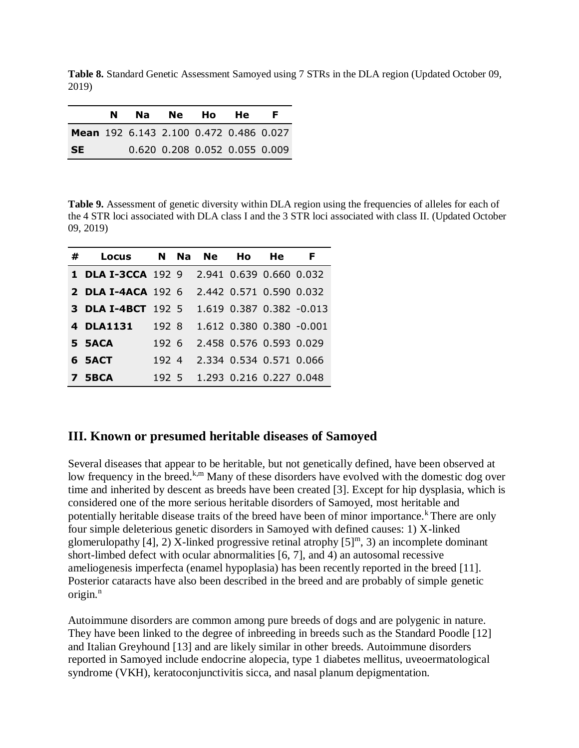**Table 8.** Standard Genetic Assessment Samoyed using 7 STRs in the DLA region (Updated October 09, 2019)

|                                        | N. | Na l | Ne Ho He                      | F. |
|----------------------------------------|----|------|-------------------------------|----|
| Mean 192 6.143 2.100 0.472 0.486 0.027 |    |      |                               |    |
| <b>SE</b>                              |    |      | 0.620 0.208 0.052 0.055 0.009 |    |

**Table 9.** Assessment of genetic diversity within DLA region using the frequencies of alleles for each of the 4 STR loci associated with DLA class I and the 3 STR loci associated with class II. (Updated October 09, 2019)

| # | Locus                     | N.    | <b>Na</b> | <b>Ne</b> | Hο                      | He | F                        |  |
|---|---------------------------|-------|-----------|-----------|-------------------------|----|--------------------------|--|
|   | 1 DLA I-3CCA 192 9        |       |           |           | 2.941 0.639 0.660 0.032 |    |                          |  |
|   | <b>2 DLA I-4ACA</b> 192 6 |       |           |           | 2.442 0.571 0.590 0.032 |    |                          |  |
|   | <b>3 DLA I-4BCT</b> 192 5 |       |           |           |                         |    | 1.619 0.387 0.382 -0.013 |  |
|   | 4 DLA1131                 | 192 8 |           |           |                         |    | 1.612 0.380 0.380 -0.001 |  |
|   | 5 5ACA                    | 1926  |           |           | 2.458 0.576 0.593 0.029 |    |                          |  |
|   | 6 SACT                    | 192.4 |           |           | 2.334 0.534 0.571 0.066 |    |                          |  |
|   | 7 5BCA                    | 1925  |           |           | 1.293 0.216 0.227 0.048 |    |                          |  |

# **III. Known or presumed heritable diseases of Samoyed**

Several diseases that appear to be heritable, but not genetically defined, have been observed at low frequency in the breed.<sup>k,m</sup> Many of these disorders have evolved with the domestic dog over time and inherited by descent as breeds have been created [3]. Except for hip dysplasia, which is considered one of the more serious heritable disorders of Samoyed, most heritable and potentially heritable disease traits of the breed have been of minor importance.<sup>k</sup> There are only four simple deleterious genetic disorders in Samoyed with defined causes: 1) X-linked glomerulopathy [4], 2) X-linked progressive retinal atrophy  $[5]^{m}$ , 3) an incomplete dominant short-limbed defect with ocular abnormalities [6, 7], and 4) an autosomal recessive ameliogenesis imperfecta (enamel hypoplasia) has been recently reported in the breed [11]. Posterior cataracts have also been described in the breed and are probably of simple genetic origin. $<sup>n</sup>$ </sup>

Autoimmune disorders are common among pure breeds of dogs and are polygenic in nature. They have been linked to the degree of inbreeding in breeds such as the Standard Poodle [12] and Italian Greyhound [13] and are likely similar in other breeds. Autoimmune disorders reported in Samoyed include endocrine alopecia, type 1 diabetes mellitus, uveoermatological syndrome (VKH), keratoconjunctivitis sicca, and nasal planum depigmentation.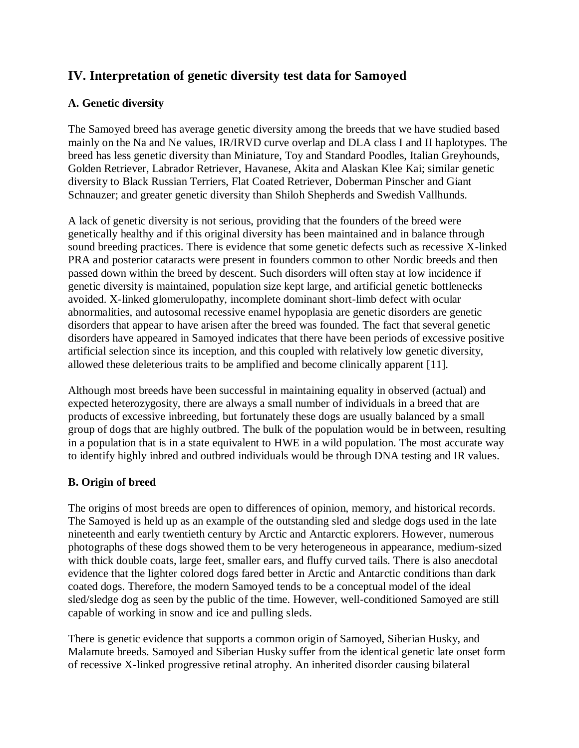# **IV. Interpretation of genetic diversity test data for Samoyed**

# **A. Genetic diversity**

The Samoyed breed has average genetic diversity among the breeds that we have studied based mainly on the Na and Ne values, IR/IRVD curve overlap and DLA class I and II haplotypes. The breed has less genetic diversity than Miniature, Toy and Standard Poodles, Italian Greyhounds, Golden Retriever, Labrador Retriever, Havanese, Akita and Alaskan Klee Kai; similar genetic diversity to Black Russian Terriers, Flat Coated Retriever, Doberman Pinscher and Giant Schnauzer; and greater genetic diversity than Shiloh Shepherds and Swedish Vallhunds.

A lack of genetic diversity is not serious, providing that the founders of the breed were genetically healthy and if this original diversity has been maintained and in balance through sound breeding practices. There is evidence that some genetic defects such as recessive X-linked PRA and posterior cataracts were present in founders common to other Nordic breeds and then passed down within the breed by descent. Such disorders will often stay at low incidence if genetic diversity is maintained, population size kept large, and artificial genetic bottlenecks avoided. X-linked glomerulopathy, incomplete dominant short-limb defect with ocular abnormalities, and autosomal recessive enamel hypoplasia are genetic disorders are genetic disorders that appear to have arisen after the breed was founded. The fact that several genetic disorders have appeared in Samoyed indicates that there have been periods of excessive positive artificial selection since its inception, and this coupled with relatively low genetic diversity, allowed these deleterious traits to be amplified and become clinically apparent [11].

Although most breeds have been successful in maintaining equality in observed (actual) and expected heterozygosity, there are always a small number of individuals in a breed that are products of excessive inbreeding, but fortunately these dogs are usually balanced by a small group of dogs that are highly outbred. The bulk of the population would be in between, resulting in a population that is in a state equivalent to HWE in a wild population. The most accurate way to identify highly inbred and outbred individuals would be through DNA testing and IR values.

# **B. Origin of breed**

The origins of most breeds are open to differences of opinion, memory, and historical records. The Samoyed is held up as an example of the outstanding sled and sledge dogs used in the late nineteenth and early twentieth century by Arctic and Antarctic explorers. However, numerous photographs of these dogs showed them to be very heterogeneous in appearance, medium-sized with thick double coats, large feet, smaller ears, and fluffy curved tails. There is also anecdotal evidence that the lighter colored dogs fared better in Arctic and Antarctic conditions than dark coated dogs. Therefore, the modern Samoyed tends to be a conceptual model of the ideal sled/sledge dog as seen by the public of the time. However, well-conditioned Samoyed are still capable of working in snow and ice and pulling sleds.

There is genetic evidence that supports a common origin of Samoyed, Siberian Husky, and Malamute breeds. Samoyed and Siberian Husky suffer from the identical genetic late onset form of recessive X-linked progressive retinal atrophy. An inherited disorder causing bilateral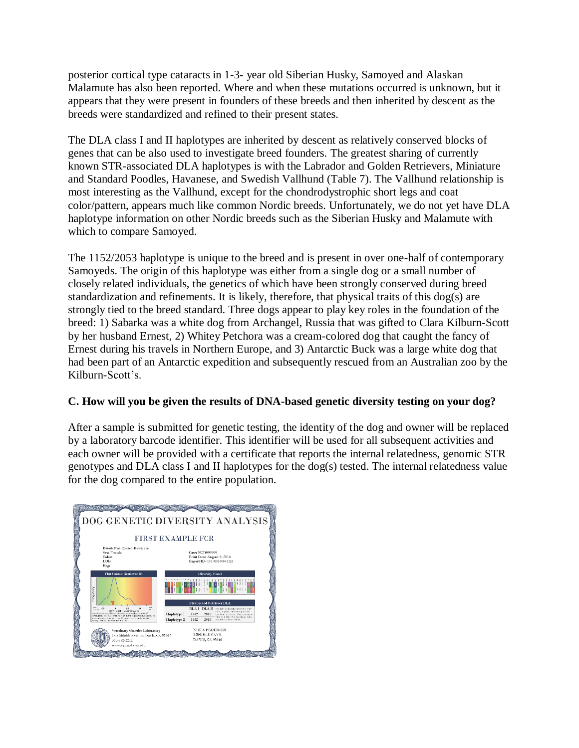posterior cortical type cataracts in 1-3- year old Siberian Husky, Samoyed and Alaskan Malamute has also been reported. Where and when these mutations occurred is unknown, but it appears that they were present in founders of these breeds and then inherited by descent as the breeds were standardized and refined to their present states.

The DLA class I and II haplotypes are inherited by descent as relatively conserved blocks of genes that can be also used to investigate breed founders. The greatest sharing of currently known STR-associated DLA haplotypes is with the Labrador and Golden Retrievers, Miniature and Standard Poodles, Havanese, and Swedish Vallhund (Table 7). The Vallhund relationship is most interesting as the Vallhund, except for the chondrodystrophic short legs and coat color/pattern, appears much like common Nordic breeds. Unfortunately, we do not yet have DLA haplotype information on other Nordic breeds such as the Siberian Husky and Malamute with which to compare Samoyed.

The 1152/2053 haplotype is unique to the breed and is present in over one-half of contemporary Samoyeds. The origin of this haplotype was either from a single dog or a small number of closely related individuals, the genetics of which have been strongly conserved during breed standardization and refinements. It is likely, therefore, that physical traits of this dog(s) are strongly tied to the breed standard. Three dogs appear to play key roles in the foundation of the breed: 1) Sabarka was a white dog from Archangel, Russia that was gifted to Clara Kilburn-Scott by her husband Ernest, 2) Whitey Petchora was a cream-colored dog that caught the fancy of Ernest during his travels in Northern Europe, and 3) Antarctic Buck was a large white dog that had been part of an Antarctic expedition and subsequently rescued from an Australian zoo by the Kilburn-Scott's.

# **C. How will you be given the results of DNA-based genetic diversity testing on your dog?**

After a sample is submitted for genetic testing, the identity of the dog and owner will be replaced by a laboratory barcode identifier. This identifier will be used for all subsequent activities and each owner will be provided with a certificate that reports the internal relatedness, genomic STR genotypes and DLA class I and II haplotypes for the dog(s) tested. The internal relatedness value for the dog compared to the entire population.

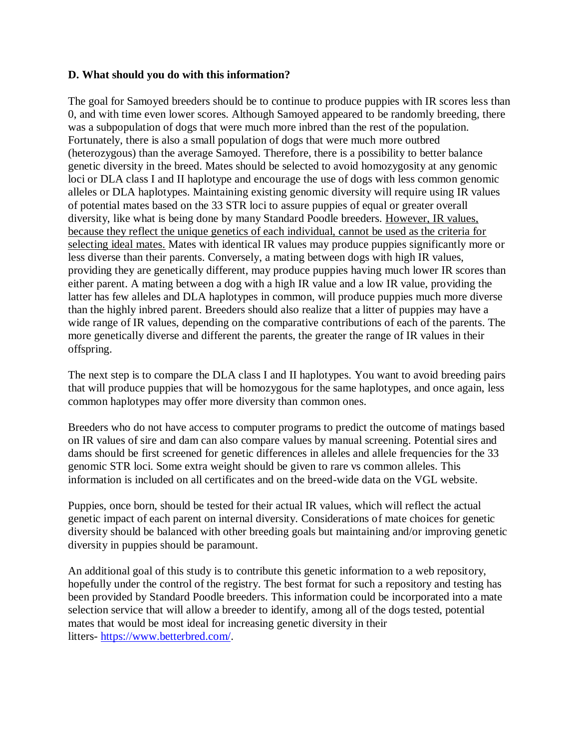#### **D. What should you do with this information?**

The goal for Samoyed breeders should be to continue to produce puppies with IR scores less than 0, and with time even lower scores. Although Samoyed appeared to be randomly breeding, there was a subpopulation of dogs that were much more inbred than the rest of the population. Fortunately, there is also a small population of dogs that were much more outbred (heterozygous) than the average Samoyed. Therefore, there is a possibility to better balance genetic diversity in the breed. Mates should be selected to avoid homozygosity at any genomic loci or DLA class I and II haplotype and encourage the use of dogs with less common genomic alleles or DLA haplotypes. Maintaining existing genomic diversity will require using IR values of potential mates based on the 33 STR loci to assure puppies of equal or greater overall diversity, like what is being done by many Standard Poodle breeders. However, IR values, because they reflect the unique genetics of each individual, cannot be used as the criteria for selecting ideal mates. Mates with identical IR values may produce puppies significantly more or less diverse than their parents. Conversely, a mating between dogs with high IR values, providing they are genetically different, may produce puppies having much lower IR scores than either parent. A mating between a dog with a high IR value and a low IR value, providing the latter has few alleles and DLA haplotypes in common, will produce puppies much more diverse than the highly inbred parent. Breeders should also realize that a litter of puppies may have a wide range of IR values, depending on the comparative contributions of each of the parents. The more genetically diverse and different the parents, the greater the range of IR values in their offspring.

The next step is to compare the DLA class I and II haplotypes. You want to avoid breeding pairs that will produce puppies that will be homozygous for the same haplotypes, and once again, less common haplotypes may offer more diversity than common ones.

Breeders who do not have access to computer programs to predict the outcome of matings based on IR values of sire and dam can also compare values by manual screening. Potential sires and dams should be first screened for genetic differences in alleles and allele frequencies for the 33 genomic STR loci. Some extra weight should be given to rare vs common alleles. This information is included on all certificates and on the breed-wide data on the VGL website.

Puppies, once born, should be tested for their actual IR values, which will reflect the actual genetic impact of each parent on internal diversity. Considerations of mate choices for genetic diversity should be balanced with other breeding goals but maintaining and/or improving genetic diversity in puppies should be paramount.

An additional goal of this study is to contribute this genetic information to a web repository, hopefully under the control of the registry. The best format for such a repository and testing has been provided by Standard Poodle breeders. This information could be incorporated into a mate selection service that will allow a breeder to identify, among all of the dogs tested, potential mates that would be most ideal for increasing genetic diversity in their litters- [https://www.betterbred.com/.](https://www.betterbred.com/)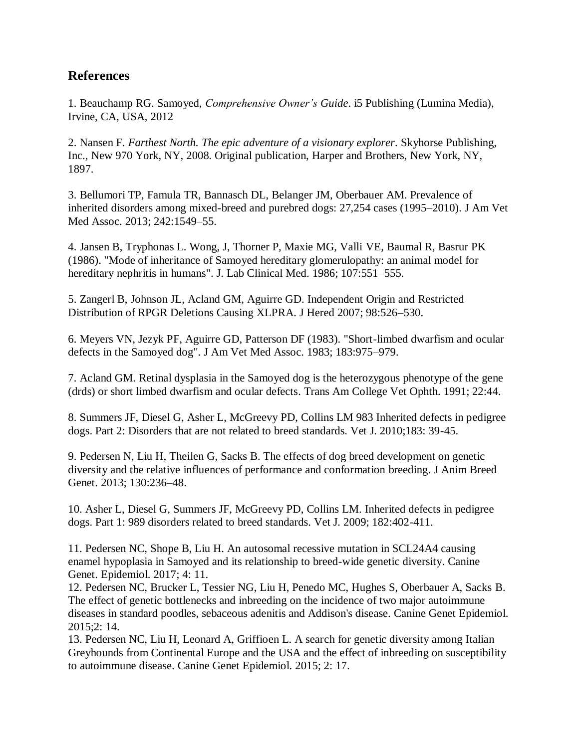# **References**

1. Beauchamp RG. Samoyed, *Comprehensive Owner's Guide*. i5 Publishing (Lumina Media), Irvine, CA, USA, 2012

2. Nansen F. *Farthest North. The epic adventure of a visionary explorer*. Skyhorse Publishing, Inc., New 970 York, NY, 2008. Original publication, Harper and Brothers, New York, NY, 1897.

3. Bellumori TP, Famula TR, Bannasch DL, Belanger JM, Oberbauer AM. Prevalence of inherited disorders among mixed-breed and purebred dogs: 27,254 cases (1995–2010). J Am Vet Med Assoc. 2013; 242:1549–55.

4. Jansen B, Tryphonas L. Wong, J, Thorner P, Maxie MG, Valli VE, Baumal R, Basrur PK (1986). "Mode of inheritance of Samoyed hereditary glomerulopathy: an animal model for hereditary nephritis in humans". J. Lab Clinical Med. 1986; 107:551–555.

5. Zangerl B, Johnson JL, Acland GM, Aguirre GD. Independent Origin and Restricted Distribution of RPGR Deletions Causing XLPRA. J Hered 2007; 98:526–530.

6. Meyers VN, Jezyk PF, Aguirre GD, Patterson DF (1983). "Short-limbed dwarfism and ocular defects in the Samoyed dog". J Am Vet Med Assoc. 1983; 183:975–979.

7. Acland GM. Retinal dysplasia in the Samoyed dog is the heterozygous phenotype of the gene (drds) or short limbed dwarfism and ocular defects. Trans Am College Vet Ophth. 1991; 22:44.

8. Summers JF, Diesel G, Asher L, McGreevy PD, Collins LM 983 Inherited defects in pedigree dogs. Part 2: Disorders that are not related to breed standards. Vet J. 2010;183: 39-45.

9. Pedersen N, Liu H, Theilen G, Sacks B. The effects of dog breed development on genetic diversity and the relative influences of performance and conformation breeding. J Anim Breed Genet. 2013; 130:236–48.

10. Asher L, Diesel G, Summers JF, McGreevy PD, Collins LM. Inherited defects in pedigree dogs. Part 1: 989 disorders related to breed standards. Vet J. 2009; 182:402-411.

11. Pedersen NC, Shope B, Liu H. An autosomal recessive mutation in SCL24A4 causing enamel hypoplasia in Samoyed and its relationship to breed-wide genetic diversity. Canine Genet. Epidemiol. 2017; 4: 11.

12. Pedersen NC, Brucker L, Tessier NG, Liu H, Penedo MC, Hughes S, Oberbauer A, Sacks B. The effect of genetic bottlenecks and inbreeding on the incidence of two major autoimmune diseases in standard poodles, sebaceous adenitis and Addison's disease. Canine Genet Epidemiol. 2015;2: 14.

13. Pedersen NC, Liu H, Leonard A, Griffioen L. A search for genetic diversity among Italian Greyhounds from Continental Europe and the USA and the effect of inbreeding on susceptibility to autoimmune disease. Canine Genet Epidemiol. 2015; 2: 17.